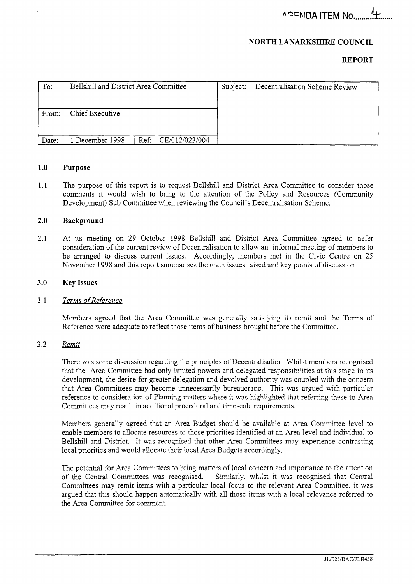*EeEM3A* ITEM **No** ......... *k* ......

## **NORTH LAYARKSHIRE COUNCIL**

### **REPORT**

| To:   | Bellshill and District Area Committee |      |                | Subject: | Decentralisation Scheme Review |
|-------|---------------------------------------|------|----------------|----------|--------------------------------|
| From: | Chief Executive                       |      |                |          |                                |
| Date: | 1 December 1998                       | Ref: | CE/012/023/004 |          |                                |

### **1** .o **Purpose**

1.1 The purpose of this report is to request Bellshill and District Area Committee to consider those comments it would wish to bring to the attention of the Policy and Resources (Community Development) Sub Committee when reviewing the Council's Decentralisation Scheme.

#### **2.0 Background**

2.1 At its meeting on 29 October 1998 Bellshill and District Area Committee agreed to defer consideration of the current review of Decentralisation to allow an informal meeting of members to be arranged to discuss current issues. Accordingly, members met in the Civic Centre on 25 November 1998 and this report summarises the main issues raised and key points of discussion.

### **3.0 Key Issues**

#### 3.1 *Terms of Reference*

Members agreed that the Area Committee was generally satisfying its remit and the Terms of Reference were adequate to reflect those items of business brought before the Committee.

#### 3.2 *Remit*

There was some discussion regarding the principles of Decentralisation. Whilst members recognised that the Area Committee had only limited powers and delegated responsibilities at this stage in its development, the desire for greater delegation and devolved authority was coupled with the concern that Area Committees may become unnecessarily bureaucratic. This was argued with particular reference to consideration of Planning matters where it was highlighted that referring these to Area Committees may result in additional procedural and timescale requirements.

Members generally agreed that an Area Budget should be available at Area Committee level to enable members to allocate resources to those priorities identified at an Area level and individual to Bellshill and District. It was recognised that other Area Committees may experience contrasting local priorities and would allocate their local Area Budgets accordingly.

The potential for Area Committees to bring matters of local concern and importance to the attention of the Central Committees was recognised. Similarly, whilst it was recognised that Central Committees may remit items with a particular local focus to the relevant Area Committee, it was argued that this should happen automatically with all those items with a local relevance referred to the Area committee for comment.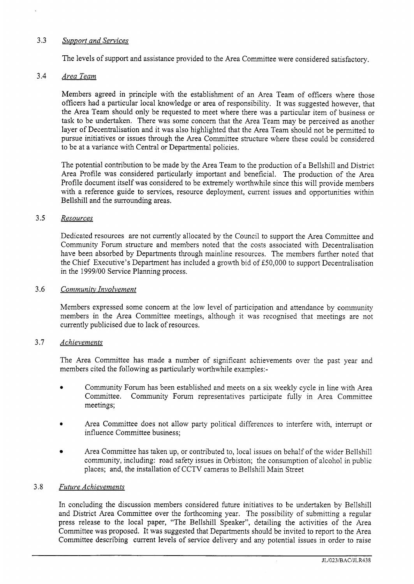# *3.3 Support and Services*

The levels of support and assistance provided to the Area Committee were considered satisfactory.

### **3.4** *Area Team*

Members agreed in principle with the establishment of an Area Team of officers where those officers had a particular local knowledge or area of responsibility. It was suggested however, that the Area Team should only be requested to meet where there was a particular item of business or task to be undertaken. There was some concern that the Area Team may be perceived as another layer of Decentralisation and it was also highlighted that the Area Team should not be permitted to pursue initiatives or issues through the Area Committee structure where these could be considered to be at a variance with Central or Departmental policies.

The potential contribution to be made by the Area Team to the production of a Bellshill and District Area Profile was considered particularly important and beneficial. The production of the Area Profile document itself was considered to be extremely worthwhile since this will provide members with a reference guide to services, resource deployment, current issues and opportunities within Bellshill and the surrounding areas.

## *3.5 Resources*

Dedicated resources are not currently allocated by the Council to support the Area Committee and Community Forum structure and members noted that the costs associated with Decentralisation have been absorbed by Departments through mainline resources. The members further noted that the Chief Executive's Department has included a growth bid of *&50,000* to support Decentralisation in the 1999/00 Service Planning process.

## *3.6 Communitv Involvement*

Members expressed some concern at the low level of participation and attendance by community members in the Area Committee meetings, although it was recognised that meetings are not currently publicised due to lack of resources.

# *3.7 Achievements*

The Area Committee has made a number of significant achievements over the past year and members cited the following as particularly worthwhile examples: -

- *8* Community Forum has been established and meets on a six weekly cycle in line with Area Committee. Community Forum representatives participate fully in Area Committee meetings;
- *8* Area Committee does not allow party political differences to interfere with, interrupt or influence Committee business;
- Area Committee has taken up, or contributed to, local issues on behalf of the wider Bellshill community, including: road safety issues in Orbiston; the consumption of alcohol in public places; and, the installation of CCTV cameras to Bellshill Main Street

### *3.8 Future Achievements*

In concluding the discussion members considered future initiatives to be undertaken by Bellshill and District Area Committee over the forthcoming year. The possibility of submitting a regular press release to the local paper, "The Bellshill Speaker", detailing the activities of the Area Committee was proposed. It was suggested that Departments should be invited to report to the Area Committee describing current levels of service delivery and any potential issues in order to raise